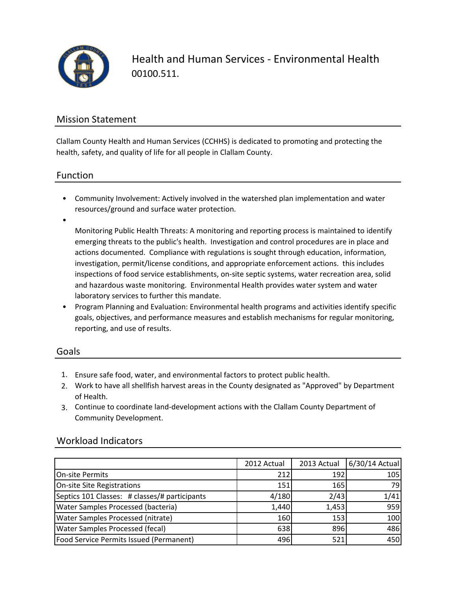

Health and Human Services - Environmental Health 00100.511.

### Mission Statement

Clallam County Health and Human Services (CCHHS) is dedicated to promoting and protecting the health, safety, and quality of life for all people in Clallam County.

### Function

- Community Involvement: Actively involved in the watershed plan implementation and water resources/ground and surface water protection.
- •

Monitoring Public Health Threats: A monitoring and reporting process is maintained to identify emerging threats to the public's health. Investigation and control procedures are in place and actions documented. Compliance with regulations is sought through education, information, investigation, permit/license conditions, and appropriate enforcement actions. this includes inspections of food service establishments, on-site septic systems, water recreation area, solid and hazardous waste monitoring. Environmental Health provides water system and water laboratory services to further this mandate.

• Program Planning and Evaluation: Environmental health programs and activities identify specific goals, objectives, and performance measures and establish mechanisms for regular monitoring, reporting, and use of results.

## Goals

- 1. Ensure safe food, water, and environmental factors to protect public health.
- 2. Work to have all shellfish harvest areas in the County designated as "Approved" by Department of Health.
- 3. Continue to coordinate land-development actions with the Clallam County Department of Community Development.

|                                               | 2012 Actual | 2013 Actual | 6/30/14 Actual |
|-----------------------------------------------|-------------|-------------|----------------|
| <b>On-site Permits</b>                        | 212         | 192         | 105            |
| On-site Site Registrations                    | 151         | 165         | 79             |
| Septics 101 Classes: # classes/# participants | 4/180       | 2/43        | 1/41           |
| Water Samples Processed (bacteria)            | 1,440       | 1,453       | 959            |
| Water Samples Processed (nitrate)             | 160         | 153         | 100            |
| Water Samples Processed (fecal)               | 638         | 896         | 486            |
| Food Service Permits Issued (Permanent)       | 496         | 521         | 450            |

### Workload Indicators